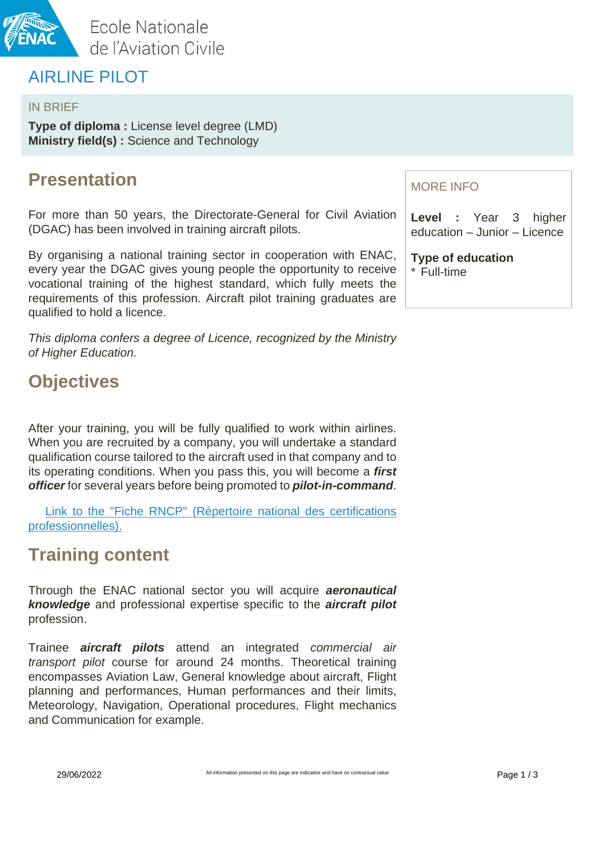

## AIRLINE PILOT

#### IN BRIEF

**Type of diploma :** License level degree (LMD) **Ministry field(s) :** Science and Technology

## **Presentation**

For more than 50 years, the Directorate-General for Civil Aviation (DGAC) has been involved in training aircraft pilots.

By organising a national training sector in cooperation with ENAC, every year the DGAC gives young people the opportunity to receive vocational training of the highest standard, which fully meets the requirements of this profession. Aircraft pilot training graduates are qualified to hold a licence.

This diploma confers a degree of Licence, recognized by the Ministry of Higher Education.

## **Objectives**

After your training, you will be fully qualified to work within airlines. When you are recruited by a company, you will undertake a standard qualification course tailored to the aircraft used in that company and to its operating conditions. When you pass this, you will become a **first officer** for several years before being promoted to **pilot-in-command**.

[Link to the "Fiche RNCP" \(Répertoire national des certifications](https://certificationprofessionnelle.fr/recherche/rncp/30754)  [professionnelles\).](https://certificationprofessionnelle.fr/recherche/rncp/30754)

## **Training content**

Through the ENAC national sector you will acquire **aeronautical knowledge** and professional expertise specific to the **aircraft pilot** profession.

Trainee **aircraft pilots** attend an integrated commercial air transport pilot course for around 24 months. Theoretical training encompasses Aviation Law, General knowledge about aircraft, Flight planning and performances, Human performances and their limits, Meteorology, Navigation, Operational procedures, Flight mechanics and Communication for example.

#### MORE INFO

**Level :** Year 3 higher education – Junior – Licence

**Type of education** \* Full-time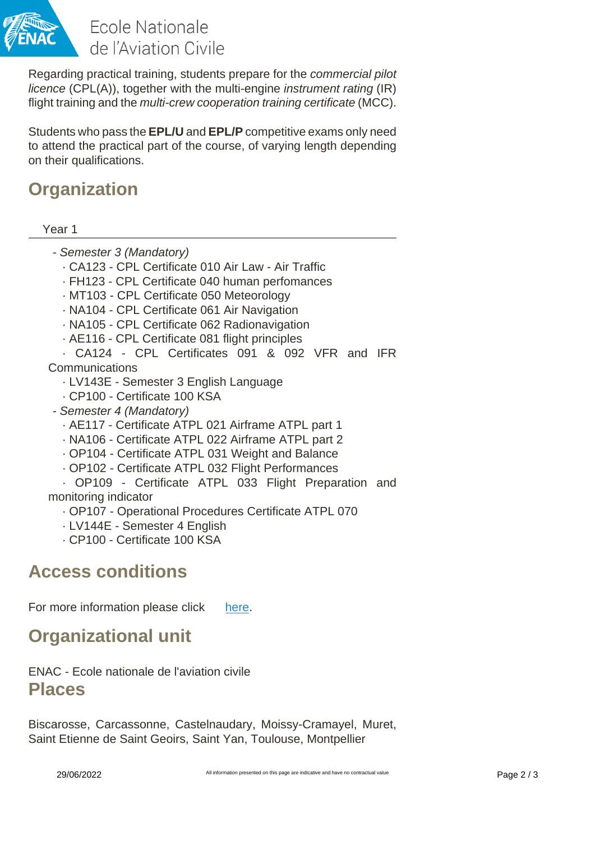

Ecole Nationale de l'Aviation Civile

Regarding practical training, students prepare for the commercial pilot licence (CPL(A)), together with the multi-engine instrument rating (IR) flight training and the *multi-crew cooperation training certificate* (MCC).

Students who pass the **EPL/U** and **EPL/P** competitive exams only need to attend the practical part of the course, of varying length depending on their qualifications.

# **Organization**

Year 1

- Semester 3 (Mandatory)
	- · CA123 CPL Certificate 010 Air Law Air Traffic
	- · FH123 CPL Certificate 040 human perfomances
	- · MT103 CPL Certificate 050 Meteorology
	- · NA104 CPL Certificate 061 Air Navigation
	- · NA105 CPL Certificate 062 Radionavigation
	- · AE116 CPL Certificate 081 flight principles
- · CA124 CPL Certificates 091 & 092 VFR and IFR Communications
	- · LV143E Semester 3 English Language
	- · CP100 Certificate 100 KSA
- Semester 4 (Mandatory)
	- · AE117 Certificate ATPL 021 Airframe ATPL part 1
	- · NA106 Certificate ATPL 022 Airframe ATPL part 2
	- · OP104 Certificate ATPL 031 Weight and Balance
	- · OP102 Certificate ATPL 032 Flight Performances

· OP109 - Certificate ATPL 033 Flight Preparation and monitoring indicator

- · OP107 Operational Procedures Certificate ATPL 070
- · LV144E Semester 4 English
- · CP100 Certificate 100 KSA

### **Access conditions**

For more information please click [here](http://www.enac.fr/en/menu/programmes/bachelor-degrees/airline-pilot-epl).

# **Organizational unit**

ENAC - Ecole nationale de l'aviation civile **Places**

Biscarosse, Carcassonne, Castelnaudary, Moissy-Cramayel, Muret, Saint Etienne de Saint Geoirs, Saint Yan, Toulouse, Montpellier